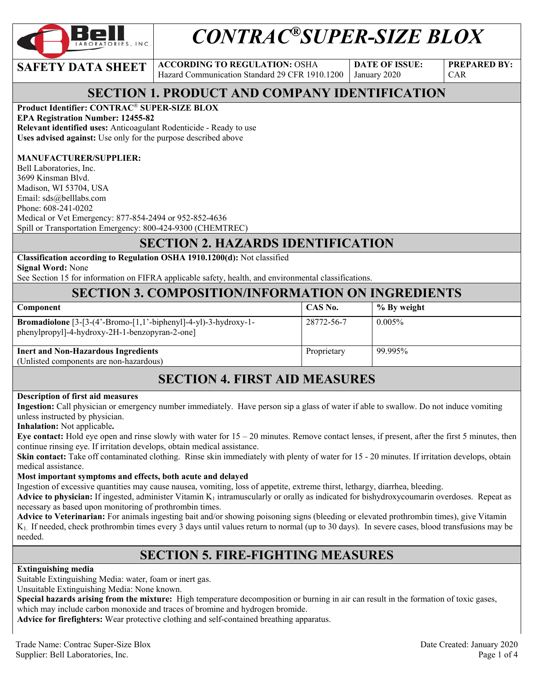

# *CONTRAC®SUPER-SIZE BLOX*

**SAFETY DATA SHEET ACCORDING TO REGULATION: OSHA** Hazard Communication Standard 29 CFR 1910.1200

**DATE OF ISSUE:**  January 2020

**PREPARED BY:**  CAR

# **SECTION 1. PRODUCT AND COMPANY IDENTIFICATION**

### **Product Identifier: CONTRAC**® **SUPER-SIZE BLOX**

**EPA Registration Number: 12455-82** 

**Relevant identified uses:** Anticoagulant Rodenticide - Ready to use **Uses advised against:** Use only for the purpose described above

#### **MANUFACTURER/SUPPLIER:**

Bell Laboratories, Inc. 3699 Kinsman Blvd. Madison, WI 53704, USA Email: sds@belllabs.com Phone: 608-241-0202 Medical or Vet Emergency: 877-854-2494 or 952-852-4636 Spill or Transportation Emergency: 800-424-9300 (CHEMTREC)

# **SECTION 2. HAZARDS IDENTIFICATION**

**Classification according to Regulation OSHA 1910.1200(d):** Not classified **Signal Word:** None

See Section 15 for information on FIFRA applicable safety, health, and environmental classifications.

## **SECTION 3. COMPOSITION/INFORMATION ON INGREDIENTS**

| <b>Component</b>                                                                                                           | CAS No.     | % By weight |
|----------------------------------------------------------------------------------------------------------------------------|-------------|-------------|
| <b>Bromadiolone</b> $[3-[3-(4'-Bromo-[1,1'-bipheny]]-4-y])-3-hydroxy-1-$<br>phenylpropyl]-4-hydroxy-2H-1-benzopyran-2-one] | 28772-56-7  | $0.005\%$   |
| <b>Inert and Non-Hazardous Ingredients</b><br>(Unlisted components are non-hazardous)                                      | Proprietary | 99.995%     |

# **SECTION 4. FIRST AID MEASURES**

#### **Description of first aid measures**

**Ingestion:** Call physician or emergency number immediately. Have person sip a glass of water if able to swallow. Do not induce vomiting unless instructed by physician.

**Inhalation:** Not applicable**.** 

**Eye contact:** Hold eye open and rinse slowly with water for 15 – 20 minutes. Remove contact lenses, if present, after the first 5 minutes, then continue rinsing eye. If irritation develops, obtain medical assistance.

**Skin contact:** Take off contaminated clothing. Rinse skin immediately with plenty of water for 15 - 20 minutes. If irritation develops, obtain medical assistance.

#### **Most important symptoms and effects, both acute and delayed**

Ingestion of excessive quantities may cause nausea, vomiting, loss of appetite, extreme thirst, lethargy, diarrhea, bleeding.

**Advice to physician:** If ingested, administer Vitamin  $K_1$  intramuscularly or orally as indicated for bishydroxycoumarin overdoses. Repeat as necessary as based upon monitoring of prothrombin times.

**Advice to Veterinarian:** For animals ingesting bait and/or showing poisoning signs (bleeding or elevated prothrombin times), give Vitamin K1. If needed, check prothrombin times every 3 days until values return to normal (up to 30 days). In severe cases, blood transfusions may be needed.

## **SECTION 5. FIRE-FIGHTING MEASURES**

#### **Extinguishing media**

Suitable Extinguishing Media: water, foam or inert gas.

Unsuitable Extinguishing Media: None known.

**Special hazards arising from the mixture:** High temperature decomposition or burning in air can result in the formation of toxic gases, which may include carbon monoxide and traces of bromine and hydrogen bromide.

**Advice for firefighters:** Wear protective clothing and self-contained breathing apparatus.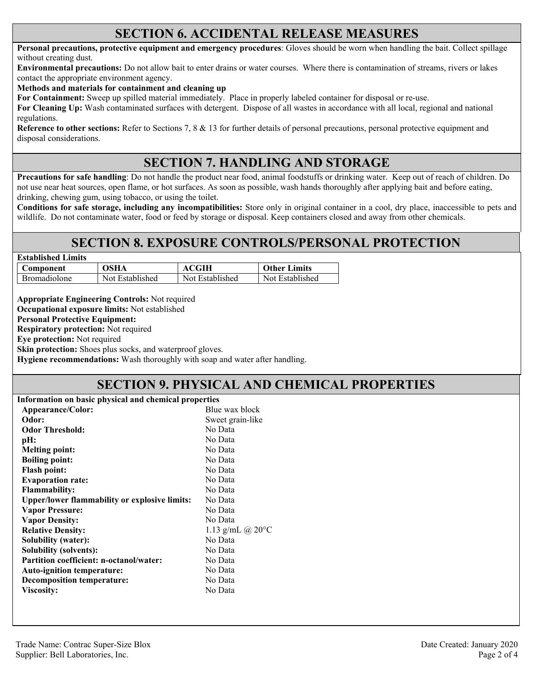## **SECTION 6. ACCIDENTAL RELEASE MEASURES**

**Personal precautions, protective equipment and emergency procedures**: Gloves should be worn when handling the bait. Collect spillage without creating dust.

**Environmental precautions:** Do not allow bait to enter drains or water courses. Where there is contamination of streams, rivers or lakes contact the appropriate environment agency.

**Methods and materials for containment and cleaning up**

**For Containment:** Sweep up spilled material immediately. Place in properly labeled container for disposal or re-use.

**For Cleaning Up:** Wash contaminated surfaces with detergent. Dispose of all wastes in accordance with all local, regional and national regulations.

**Reference to other sections:** Refer to Sections 7, 8 & 13 for further details of personal precautions, personal protective equipment and disposal considerations.

# **SECTION 7. HANDLING AND STORAGE**

**Precautions for safe handling**: Do not handle the product near food, animal foodstuffs or drinking water. Keep out of reach of children. Do not use near heat sources, open flame, or hot surfaces. As soon as possible, wash hands thoroughly after applying bait and before eating, drinking, chewing gum, using tobacco, or using the toilet.

**Conditions for safe storage, including any incompatibilities:** Store only in original container in a cool, dry place, inaccessible to pets and wildlife. Do not contaminate water, food or feed by storage or disposal. Keep containers closed and away from other chemicals.

## **SECTION 8. EXPOSURE CONTROLS/PERSONAL PROTECTION**

| OSHA            | ACGIH           | <b>Other Limits</b> |
|-----------------|-----------------|---------------------|
| Not Established | Not Established | Not Established     |
|                 |                 |                     |

**Appropriate Engineering Controls:** Not required **Occupational exposure limits:** Not established

**Personal Protective Equipment:** 

**Respiratory protection:** Not required

**Eye protection:** Not required

**Skin protection:** Shoes plus socks, and waterproof gloves.

**Hygiene recommendations:** Wash thoroughly with soap and water after handling.

## **SECTION 9. PHYSICAL AND CHEMICAL PROPERTIES**

| Information on basic physical and chemical properties |                       |  |
|-------------------------------------------------------|-----------------------|--|
| Appearance/Color:                                     | Blue wax block        |  |
| Odor:                                                 | Sweet grain-like      |  |
| <b>Odor Threshold:</b>                                | No Data               |  |
| pH:                                                   | No Data               |  |
| <b>Melting point:</b>                                 | No Data               |  |
| <b>Boiling point:</b>                                 | No Data               |  |
| <b>Flash point:</b>                                   | No Data               |  |
| <b>Evaporation rate:</b>                              | No Data               |  |
| <b>Flammability:</b>                                  | No Data               |  |
| <b>Upper/lower flammability or explosive limits:</b>  | No Data               |  |
| <b>Vapor Pressure:</b>                                | No Data               |  |
| <b>Vapor Density:</b>                                 | No Data               |  |
| <b>Relative Density:</b>                              | 1.13 g/mL $@$ 20 $°C$ |  |
| <b>Solubility (water):</b>                            | No Data               |  |
| Solubility (solvents):                                | No Data               |  |
| Partition coefficient: n-octanol/water:               | No Data               |  |
| Auto-ignition temperature:                            | No Data               |  |
| <b>Decomposition temperature:</b>                     | No Data               |  |
| Viscosity:                                            | No Data               |  |
|                                                       |                       |  |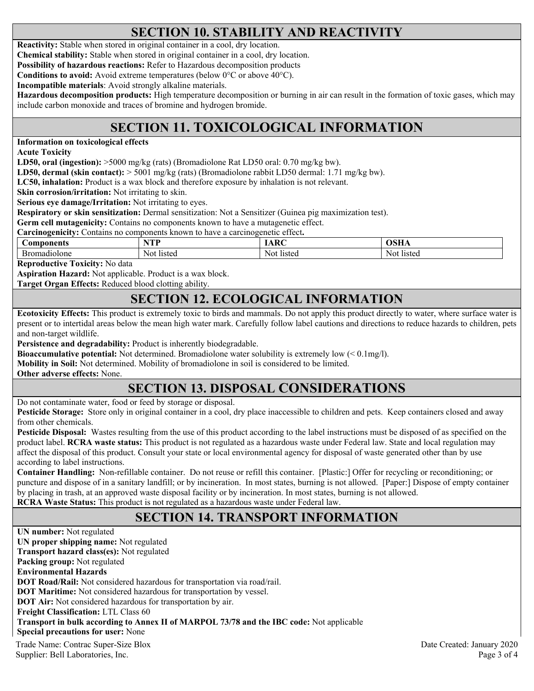# **SECTION 10. STABILITY AND REACTIVITY**

**Reactivity:** Stable when stored in original container in a cool, dry location.

**Chemical stability:** Stable when stored in original container in a cool, dry location.

**Possibility of hazardous reactions:** Refer to Hazardous decomposition products

**Conditions to avoid:** Avoid extreme temperatures (below 0°C or above 40°C).

**Incompatible materials**: Avoid strongly alkaline materials.

**Hazardous decomposition products:** High temperature decomposition or burning in air can result in the formation of toxic gases, which may include carbon monoxide and traces of bromine and hydrogen bromide.

# **SECTION 11. TOXICOLOGICAL INFORMATION**

**Information on toxicological effects** 

**Acute Toxicity** 

**LD50, oral (ingestion):** >5000 mg/kg (rats) (Bromadiolone Rat LD50 oral: 0.70 mg/kg bw).

**LD50, dermal (skin contact):** > 5001 mg/kg (rats) (Bromadiolone rabbit LD50 dermal: 1.71 mg/kg bw).

**LC50, inhalation:** Product is a wax block and therefore exposure by inhalation is not relevant.

**Skin corrosion/irritation:** Not irritating to skin.

**Serious eye damage/Irritation:** Not irritating to eyes.

**Respiratory or skin sensitization:** Dermal sensitization: Not a Sensitizer (Guinea pig maximization test).

**Germ cell mutagenicity:** Contains no components known to have a mutagenetic effect.

**Carcinogenicity:** Contains no components known to have a carcinogenetic effect**.** 

| omnonents            | ved           | $\mathbf{r}$   | $\blacksquare$ |
|----------------------|---------------|----------------|----------------|
| Бr<br>iolone<br>nadı | listed<br>Not | Not.<br>listed | Nou<br>listec  |

**Reproductive Toxicity:** No data

**Aspiration Hazard:** Not applicable. Product is a wax block.

**Target Organ Effects:** Reduced blood clotting ability.

## **SECTION 12. ECOLOGICAL INFORMATION**

**Ecotoxicity Effects:** This product is extremely toxic to birds and mammals. Do not apply this product directly to water, where surface water is present or to intertidal areas below the mean high water mark. Carefully follow label cautions and directions to reduce hazards to children, pets and non-target wildlife.

**Persistence and degradability:** Product is inherently biodegradable.

**Bioaccumulative potential:** Not determined. Bromadiolone water solubility is extremely low (< 0.1mg/l).

**Mobility in Soil:** Not determined. Mobility of bromadiolone in soil is considered to be limited.

**Other adverse effects:** None.

# **SECTION 13. DISPOSAL CONSIDERATIONS**

Do not contaminate water, food or feed by storage or disposal.

**Pesticide Storage:** Store only in original container in a cool, dry place inaccessible to children and pets. Keep containers closed and away from other chemicals.

**Pesticide Disposal:** Wastes resulting from the use of this product according to the label instructions must be disposed of as specified on the product label. **RCRA waste status:** This product is not regulated as a hazardous waste under Federal law. State and local regulation may affect the disposal of this product. Consult your state or local environmental agency for disposal of waste generated other than by use according to label instructions.

**Container Handling:** Non-refillable container. Do not reuse or refill this container. [Plastic:] Offer for recycling or reconditioning; or puncture and dispose of in a sanitary landfill; or by incineration. In most states, burning is not allowed. [Paper:] Dispose of empty container by placing in trash, at an approved waste disposal facility or by incineration. In most states, burning is not allowed. **RCRA Waste Status:** This product is not regulated as a hazardous waste under Federal law.

# **SECTION 14. TRANSPORT INFORMATION**

Trade Name: Contrac Super-Size Blox Date Created: January 2020 **UN number:** Not regulated **UN proper shipping name:** Not regulated **Transport hazard class(es):** Not regulated **Packing group:** Not regulated **Environmental Hazards DOT Road/Rail:** Not considered hazardous for transportation via road/rail. **DOT Maritime:** Not considered hazardous for transportation by vessel. **DOT Air:** Not considered hazardous for transportation by air. **Freight Classification:** LTL Class 60 **Transport in bulk according to Annex II of MARPOL 73/78 and the IBC code:** Not applicable **Special precautions for user:** None

Supplier: Bell Laboratories, Inc. 2008 and 2008 and 2008 and 2008 and 2008 and 2008 and 2008 and 2008 and 2008 and 2008 and 2008 and 2008 and 2008 and 2008 and 2008 and 2008 and 2008 and 2008 and 2008 and 2008 and 2008 and